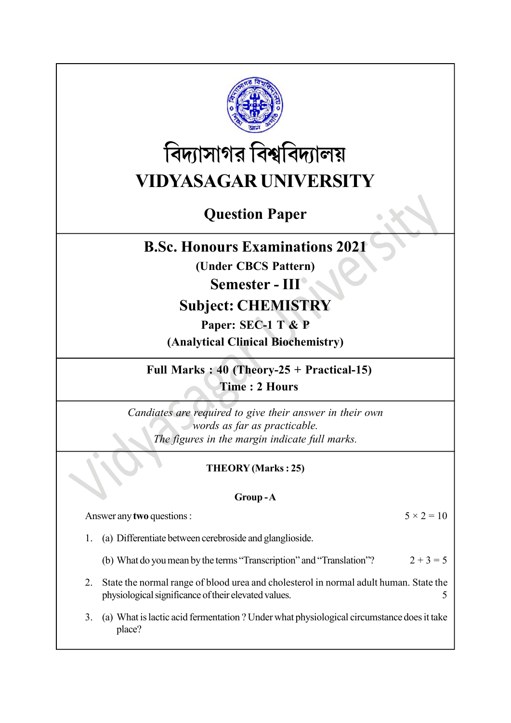

# বিদ্যাসাগর বিশ্ববিদ্যালয় VIDYASAGAR UNIVERSITY

## Question Paper

## B.Sc. Honours Examinations 2021

(Under CBCS Pattern)

## Semester - III

## Subject: CHEMISTRY

Paper: SEC-1 T & P (Analytical Clinical Biochemistry)

Full Marks : 40 (Theory-25 + Practical-15) Time : 2 Hours

Candiates are required to give their answer in their own words as far as practicable. The figures in the margin indicate full marks.

## THEORY (Marks : 25)

#### Group - A

Answer any two questions :  $5 \times 2 = 10$ 

- 1. (a) Differentiate between cerebroside and glanglioside.
	- (b) What do you mean by the terms "Transcription" and "Translation"?  $2 + 3 = 5$
- 2. State the normal range of blood urea and cholesterol in normal adult human. State the physiological significance of their elevated values. 5
- 3. (a) What is lactic acid fermentation ? Under what physiological circumstance does it take place?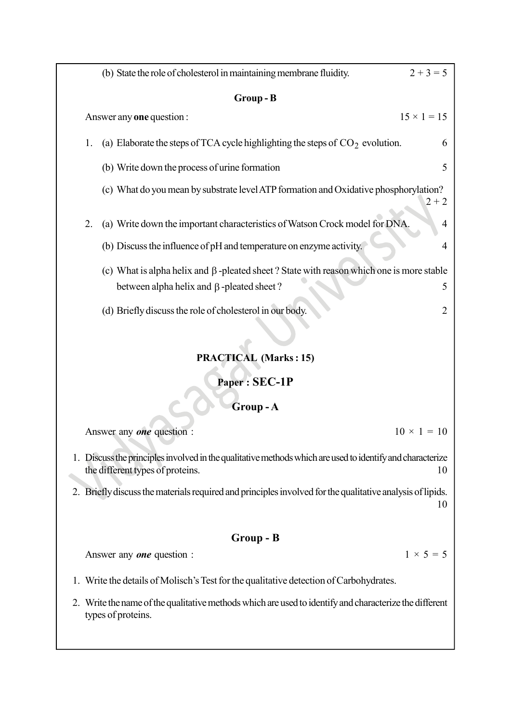| (b) State the role of cholesterol in maintaining membrane fluidity.                                                                                 | $2 + 3 = 5$        |  |  |  |
|-----------------------------------------------------------------------------------------------------------------------------------------------------|--------------------|--|--|--|
| Group-B                                                                                                                                             |                    |  |  |  |
| Answer any <b>one</b> question :                                                                                                                    | $15 \times 1 = 15$ |  |  |  |
| (a) Elaborate the steps of TCA cycle highlighting the steps of $CO2$ evolution.<br>1.                                                               | 6                  |  |  |  |
| (b) Write down the process of urine formation                                                                                                       | 5                  |  |  |  |
| (c) What do you mean by substrate level ATP formation and Oxidative phosphorylation?                                                                | $2 + 2$            |  |  |  |
| (a) Write down the important characteristics of Watson Crock model for DNA.<br>2.                                                                   | 4                  |  |  |  |
| (b) Discuss the influence of pH and temperature on enzyme activity.                                                                                 | 4                  |  |  |  |
| (c) What is alpha helix and $\beta$ -pleated sheet? State with reason which one is more stable<br>between alpha helix and $\beta$ -pleated sheet?   | 5                  |  |  |  |
| (d) Briefly discuss the role of cholesterol in our body.                                                                                            | $\overline{2}$     |  |  |  |
| <b>PRACTICAL (Marks: 15)</b>                                                                                                                        |                    |  |  |  |
| Paper: SEC-1P                                                                                                                                       |                    |  |  |  |
| Group-A                                                                                                                                             |                    |  |  |  |
| $10 \times 1 = 10$<br>Answer any <b>one</b> question :                                                                                              |                    |  |  |  |
| 1. Discuss the principles involved in the qualitative methods which are used to identify and characterize<br>the different types of proteins.<br>10 |                    |  |  |  |
| 2. Briefly discuss the materials required and principles involved for the qualitative analysis of lipids.                                           | 10                 |  |  |  |
| Group - B                                                                                                                                           |                    |  |  |  |
| Answer any <b>one</b> question :                                                                                                                    | $1 \times 5 = 5$   |  |  |  |
| 1. Write the details of Molisch's Test for the qualitative detection of Carbohydrates.                                                              |                    |  |  |  |
| Write the name of the qualitative methods which are used to identify and characterize the different<br>2.<br>types of proteins.                     |                    |  |  |  |
|                                                                                                                                                     |                    |  |  |  |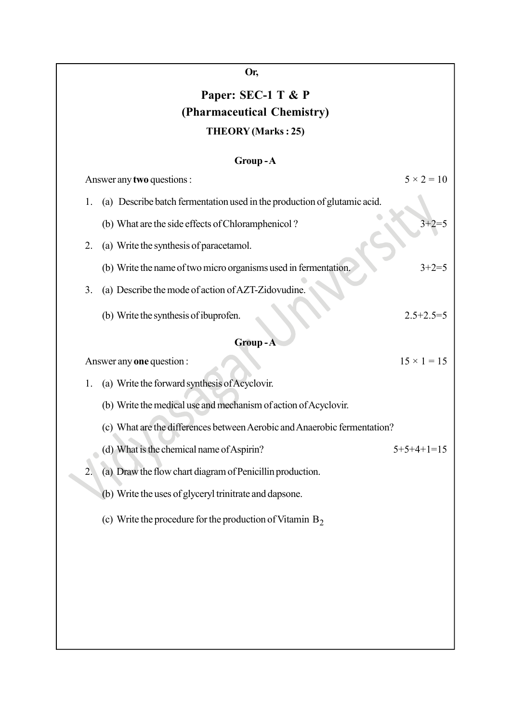## Paper: SEC-1 T & P (Pharmaceutical Chemistry) THEORY (Marks : 25)

|                  | Group-A                                                                  |                    |  |  |
|------------------|--------------------------------------------------------------------------|--------------------|--|--|
|                  | Answer any two questions :                                               | $5 \times 2 = 10$  |  |  |
| 1.               | (a) Describe batch fermentation used in the production of glutamic acid. |                    |  |  |
|                  | (b) What are the side effects of Chloramphenicol?                        | $3+2=5$            |  |  |
| 2.               | (a) Write the synthesis of paracetamol.                                  |                    |  |  |
|                  | (b) Write the name of two micro organisms used in fermentation.          | $3 + 2 = 5$        |  |  |
| 3.               | (a) Describe the mode of action of AZT-Zidovudine.                       |                    |  |  |
|                  | (b) Write the synthesis of ibuprofen.                                    | $2.5 + 2.5 = 5$    |  |  |
| Group-A          |                                                                          |                    |  |  |
|                  | Answer any <b>one</b> question :                                         | $15 \times 1 = 15$ |  |  |
| 1.               | (a) Write the forward synthesis of Acyclovir.                            |                    |  |  |
|                  | (b) Write the medical use and mechanism of action of Acyclovir.          |                    |  |  |
|                  | (c) What are the differences between Aerobic and Anaerobic fermentation? |                    |  |  |
|                  | (d) What is the chemical name of Aspirin?                                | $5+5+4+1=15$       |  |  |
| $\overline{2}$ . | (a) Draw the flow chart diagram of Penicillin production.                |                    |  |  |
|                  | (b) Write the uses of glyceryl trinitrate and dapsone.                   |                    |  |  |
|                  | (c) Write the procedure for the production of Vitamin $B_2$              |                    |  |  |
|                  |                                                                          |                    |  |  |
|                  |                                                                          |                    |  |  |
|                  |                                                                          |                    |  |  |
|                  |                                                                          |                    |  |  |
|                  |                                                                          |                    |  |  |